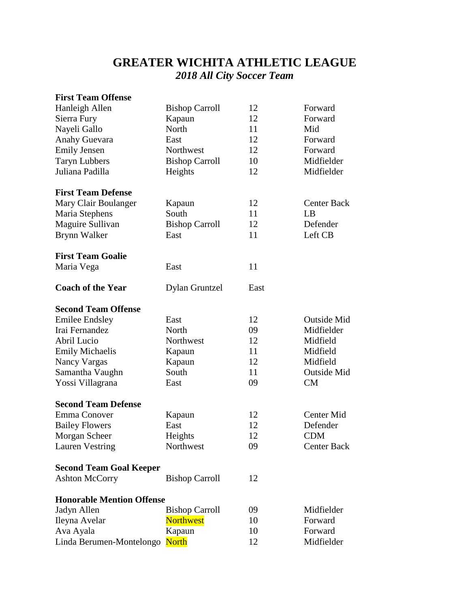## **GREATER WICHITA ATHLETIC LEAGUE** *2018 All City Soccer Team*

| <b>First Team Offense</b>        |                       |      |                    |
|----------------------------------|-----------------------|------|--------------------|
| Hanleigh Allen                   | <b>Bishop Carroll</b> | 12   | Forward            |
| Sierra Fury                      | Kapaun                | 12   | Forward            |
| Nayeli Gallo                     | North                 | 11   | Mid                |
| Anahy Guevara                    | East                  | 12   | Forward            |
| <b>Emily Jensen</b>              | Northwest             | 12   | Forward            |
| <b>Taryn Lubbers</b>             | <b>Bishop Carroll</b> | 10   | Midfielder         |
| Juliana Padilla                  | Heights               | 12   | Midfielder         |
| <b>First Team Defense</b>        |                       |      |                    |
| Mary Clair Boulanger             | Kapaun                | 12   | <b>Center Back</b> |
| Maria Stephens                   | South                 | 11   | LB                 |
| Maguire Sullivan                 | <b>Bishop Carroll</b> | 12   | Defender           |
| Brynn Walker                     | East                  | 11   | Left CB            |
| <b>First Team Goalie</b>         |                       |      |                    |
| Maria Vega                       | East                  | 11   |                    |
| <b>Coach of the Year</b>         | <b>Dylan Gruntzel</b> | East |                    |
| <b>Second Team Offense</b>       |                       |      |                    |
| <b>Emilee Endsley</b>            | East                  | 12   | <b>Outside Mid</b> |
| Irai Fernandez                   | North                 | 09   | Midfielder         |
| Abril Lucio                      | Northwest             | 12   | Midfield           |
| <b>Emily Michaelis</b>           | Kapaun                | 11   | Midfield           |
| Nancy Vargas                     | Kapaun                | 12   | Midfield           |
| Samantha Vaughn                  | South                 | 11   | Outside Mid        |
| Yossi Villagrana                 | East                  | 09   | CM                 |
| <b>Second Team Defense</b>       |                       |      |                    |
| Emma Conover                     | Kapaun                | 12   | Center Mid         |
| <b>Bailey Flowers</b>            | East                  | 12   | Defender           |
| Morgan Scheer                    | Heights               | 12   | <b>CDM</b>         |
| <b>Lauren Vestring</b>           | Northwest             | 09   | Center Back        |
| <b>Second Team Goal Keeper</b>   |                       |      |                    |
| <b>Ashton McCorry</b>            | <b>Bishop Carroll</b> | 12   |                    |
| <b>Honorable Mention Offense</b> |                       |      |                    |
| Jadyn Allen                      | <b>Bishop Carroll</b> | 09   | Midfielder         |
| Ileyna Avelar                    | <b>Northwest</b>      | 10   | Forward            |
| Ava Ayala                        | Kapaun                | 10   | Forward            |
| Linda Berumen-Montelongo North   |                       | 12   | Midfielder         |